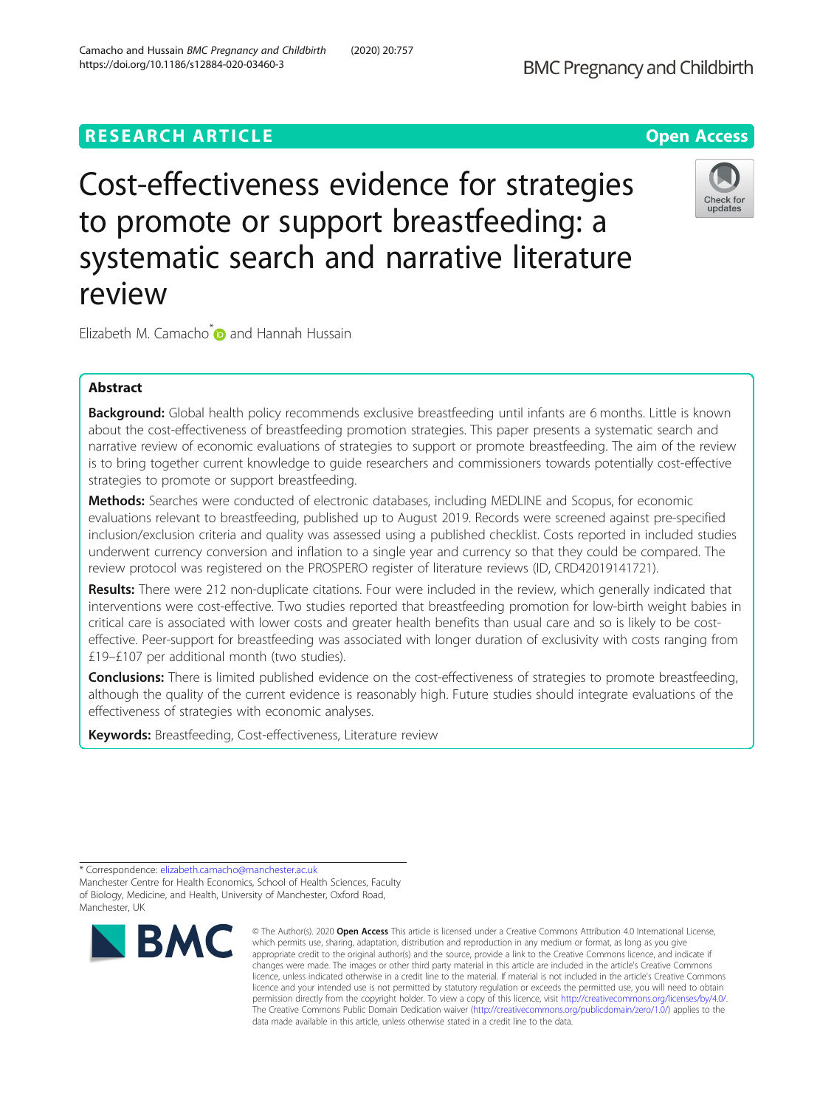# **RESEARCH ARTICLE Example 2014 12:30 The Contract of Contract ACCESS**

Cost-effectiveness evidence for strategies to promote or support breastfeeding: a systematic search and narrative literature review

Elizabeth M. Camacho<sup>\*</sup> and Hannah Hussain

# Abstract

Background: Global health policy recommends exclusive breastfeeding until infants are 6 months. Little is known about the cost-effectiveness of breastfeeding promotion strategies. This paper presents a systematic search and narrative review of economic evaluations of strategies to support or promote breastfeeding. The aim of the review is to bring together current knowledge to guide researchers and commissioners towards potentially cost-effective strategies to promote or support breastfeeding.

Methods: Searches were conducted of electronic databases, including MEDLINE and Scopus, for economic evaluations relevant to breastfeeding, published up to August 2019. Records were screened against pre-specified inclusion/exclusion criteria and quality was assessed using a published checklist. Costs reported in included studies underwent currency conversion and inflation to a single year and currency so that they could be compared. The review protocol was registered on the PROSPERO register of literature reviews (ID, CRD42019141721).

Results: There were 212 non-duplicate citations. Four were included in the review, which generally indicated that interventions were cost-effective. Two studies reported that breastfeeding promotion for low-birth weight babies in critical care is associated with lower costs and greater health benefits than usual care and so is likely to be costeffective. Peer-support for breastfeeding was associated with longer duration of exclusivity with costs ranging from £19–£107 per additional month (two studies).

**Conclusions:** There is limited published evidence on the cost-effectiveness of strategies to promote breastfeeding, although the quality of the current evidence is reasonably high. Future studies should integrate evaluations of the effectiveness of strategies with economic analyses.

Keywords: Breastfeeding, Cost-effectiveness, Literature review

\* Correspondence: [elizabeth.camacho@manchester.ac.uk](mailto:elizabeth.camacho@manchester.ac.uk)

Manchester Centre for Health Economics, School of Health Sciences, Faculty of Biology, Medicine, and Health, University of Manchester, Oxford Road, Manchester, UK



<sup>©</sup> The Author(s), 2020 **Open Access** This article is licensed under a Creative Commons Attribution 4.0 International License, which permits use, sharing, adaptation, distribution and reproduction in any medium or format, as long as you give appropriate credit to the original author(s) and the source, provide a link to the Creative Commons licence, and indicate if changes were made. The images or other third party material in this article are included in the article's Creative Commons licence, unless indicated otherwise in a credit line to the material. If material is not included in the article's Creative Commons licence and your intended use is not permitted by statutory regulation or exceeds the permitted use, you will need to obtain permission directly from the copyright holder. To view a copy of this licence, visit [http://creativecommons.org/licenses/by/4.0/.](http://creativecommons.org/licenses/by/4.0/) The Creative Commons Public Domain Dedication waiver [\(http://creativecommons.org/publicdomain/zero/1.0/](http://creativecommons.org/publicdomain/zero/1.0/)) applies to the data made available in this article, unless otherwise stated in a credit line to the data.

**BMC Pregnancy and Childbirth** 



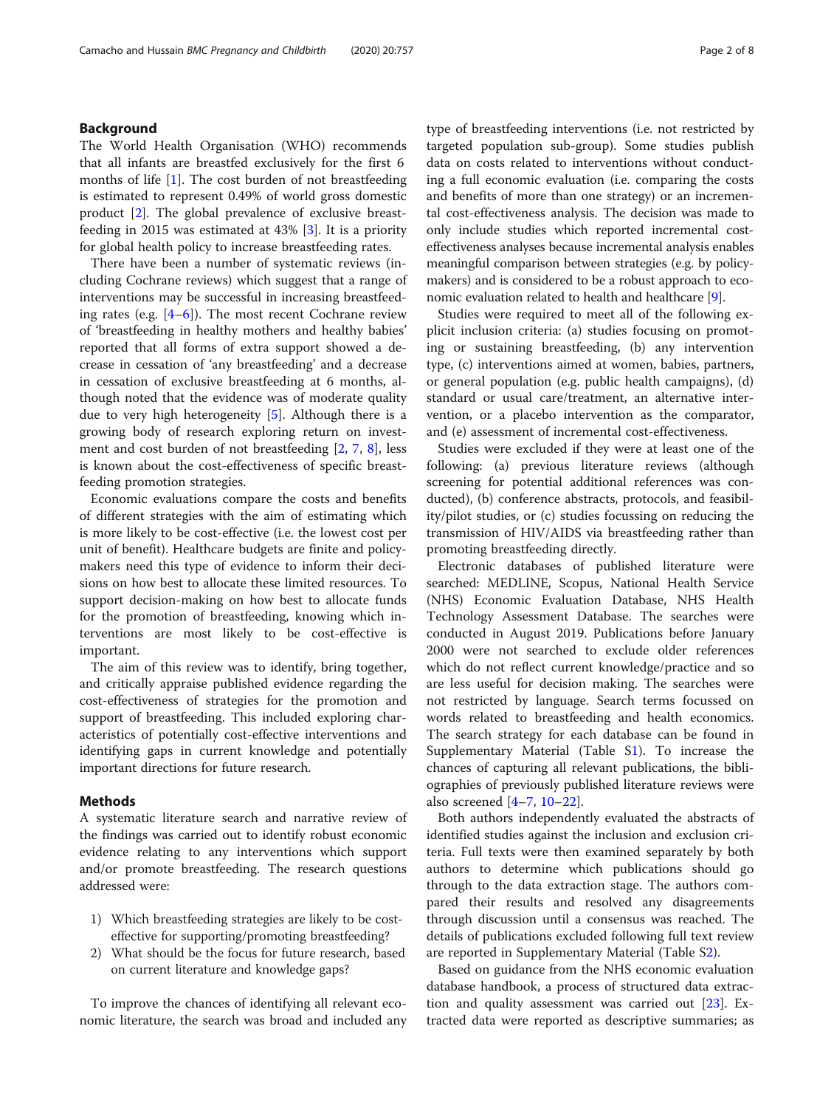## Background

The World Health Organisation (WHO) recommends that all infants are breastfed exclusively for the first 6 months of life [[1\]](#page-6-0). The cost burden of not breastfeeding is estimated to represent 0.49% of world gross domestic product [\[2](#page-6-0)]. The global prevalence of exclusive breastfeeding in 2015 was estimated at 43% [\[3](#page-6-0)]. It is a priority for global health policy to increase breastfeeding rates.

There have been a number of systematic reviews (including Cochrane reviews) which suggest that a range of interventions may be successful in increasing breastfeeding rates (e.g. [[4](#page-6-0)–[6\]](#page-6-0)). The most recent Cochrane review of 'breastfeeding in healthy mothers and healthy babies' reported that all forms of extra support showed a decrease in cessation of 'any breastfeeding' and a decrease in cessation of exclusive breastfeeding at 6 months, although noted that the evidence was of moderate quality due to very high heterogeneity [[5\]](#page-6-0). Although there is a growing body of research exploring return on investment and cost burden of not breastfeeding [\[2](#page-6-0), [7,](#page-6-0) [8](#page-6-0)], less is known about the cost-effectiveness of specific breastfeeding promotion strategies.

Economic evaluations compare the costs and benefits of different strategies with the aim of estimating which is more likely to be cost-effective (i.e. the lowest cost per unit of benefit). Healthcare budgets are finite and policymakers need this type of evidence to inform their decisions on how best to allocate these limited resources. To support decision-making on how best to allocate funds for the promotion of breastfeeding, knowing which interventions are most likely to be cost-effective is important.

The aim of this review was to identify, bring together, and critically appraise published evidence regarding the cost-effectiveness of strategies for the promotion and support of breastfeeding. This included exploring characteristics of potentially cost-effective interventions and identifying gaps in current knowledge and potentially important directions for future research.

### Methods

A systematic literature search and narrative review of the findings was carried out to identify robust economic evidence relating to any interventions which support and/or promote breastfeeding. The research questions addressed were:

- 1) Which breastfeeding strategies are likely to be costeffective for supporting/promoting breastfeeding?
- 2) What should be the focus for future research, based on current literature and knowledge gaps?

To improve the chances of identifying all relevant economic literature, the search was broad and included any type of breastfeeding interventions (i.e. not restricted by targeted population sub-group). Some studies publish data on costs related to interventions without conducting a full economic evaluation (i.e. comparing the costs and benefits of more than one strategy) or an incremental cost-effectiveness analysis. The decision was made to only include studies which reported incremental costeffectiveness analyses because incremental analysis enables meaningful comparison between strategies (e.g. by policymakers) and is considered to be a robust approach to economic evaluation related to health and healthcare [\[9](#page-6-0)].

Studies were required to meet all of the following explicit inclusion criteria: (a) studies focusing on promoting or sustaining breastfeeding, (b) any intervention type, (c) interventions aimed at women, babies, partners, or general population (e.g. public health campaigns), (d) standard or usual care/treatment, an alternative intervention, or a placebo intervention as the comparator, and (e) assessment of incremental cost-effectiveness.

Studies were excluded if they were at least one of the following: (a) previous literature reviews (although screening for potential additional references was conducted), (b) conference abstracts, protocols, and feasibility/pilot studies, or (c) studies focussing on reducing the transmission of HIV/AIDS via breastfeeding rather than promoting breastfeeding directly.

Electronic databases of published literature were searched: MEDLINE, Scopus, National Health Service (NHS) Economic Evaluation Database, NHS Health Technology Assessment Database. The searches were conducted in August 2019. Publications before January 2000 were not searched to exclude older references which do not reflect current knowledge/practice and so are less useful for decision making. The searches were not restricted by language. Search terms focussed on words related to breastfeeding and health economics. The search strategy for each database can be found in Supplementary Material (Table [S1](#page-6-0)). To increase the chances of capturing all relevant publications, the bibliographies of previously published literature reviews were also screened [\[4](#page-6-0)–[7](#page-6-0), [10](#page-6-0)–[22\]](#page-7-0).

Both authors independently evaluated the abstracts of identified studies against the inclusion and exclusion criteria. Full texts were then examined separately by both authors to determine which publications should go through to the data extraction stage. The authors compared their results and resolved any disagreements through discussion until a consensus was reached. The details of publications excluded following full text review are reported in Supplementary Material (Table S[2](#page-6-0)).

Based on guidance from the NHS economic evaluation database handbook, a process of structured data extraction and quality assessment was carried out [\[23](#page-7-0)]. Extracted data were reported as descriptive summaries; as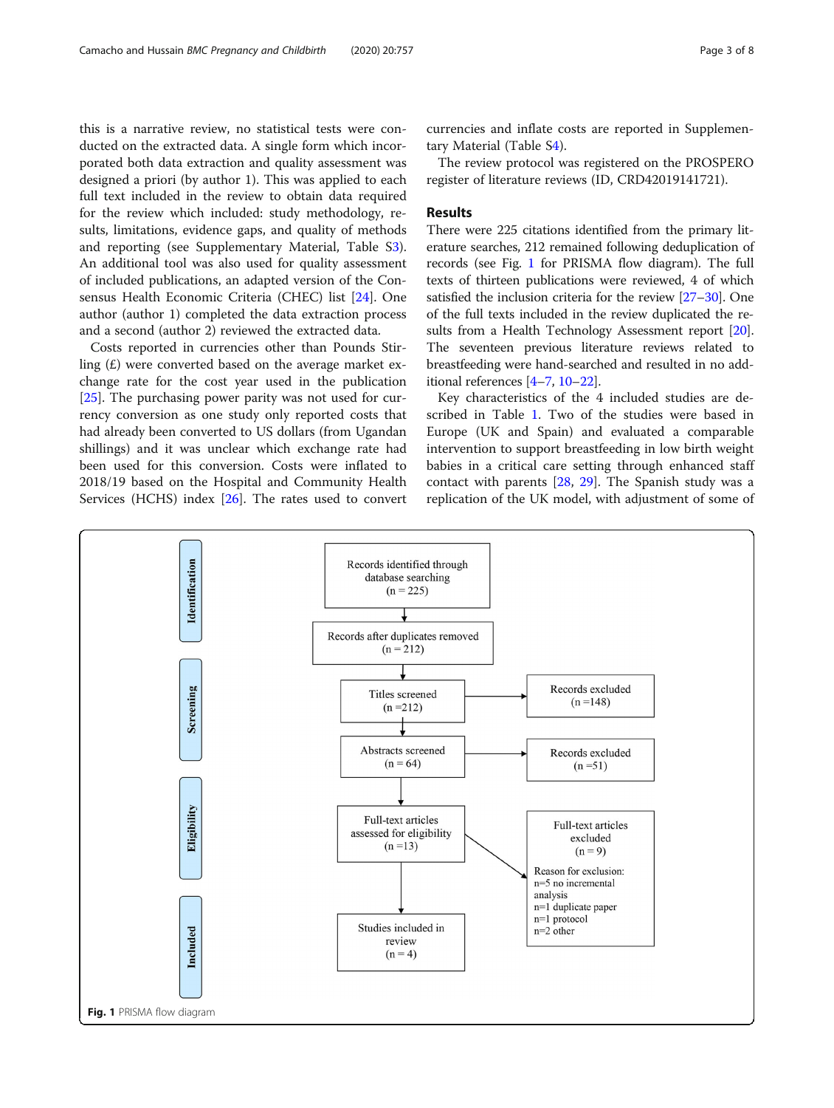this is a narrative review, no statistical tests were conducted on the extracted data. A single form which incorporated both data extraction and quality assessment was designed a priori (by author 1). This was applied to each full text included in the review to obtain data required for the review which included: study methodology, results, limitations, evidence gaps, and quality of methods and reporting (see Supplementary Material, Table [S3](#page-6-0)). An additional tool was also used for quality assessment of included publications, an adapted version of the Consensus Health Economic Criteria (CHEC) list [[24\]](#page-7-0). One author (author 1) completed the data extraction process and a second (author 2) reviewed the extracted data.

Costs reported in currencies other than Pounds Stirling  $(E)$  were converted based on the average market exchange rate for the cost year used in the publication [[25\]](#page-7-0). The purchasing power parity was not used for currency conversion as one study only reported costs that had already been converted to US dollars (from Ugandan shillings) and it was unclear which exchange rate had been used for this conversion. Costs were inflated to 2018/19 based on the Hospital and Community Health Services (HCHS) index [[26\]](#page-7-0). The rates used to convert currencies and inflate costs are reported in Supplementary Material (Table S[4\)](#page-6-0).

The review protocol was registered on the PROSPERO register of literature reviews (ID, CRD42019141721).

## Results

There were 225 citations identified from the primary literature searches, 212 remained following deduplication of records (see Fig. 1 for PRISMA flow diagram). The full texts of thirteen publications were reviewed, 4 of which satisfied the inclusion criteria for the review [\[27](#page-7-0)–[30](#page-7-0)]. One of the full texts included in the review duplicated the re-sults from a Health Technology Assessment report [[20](#page-7-0)]. The seventeen previous literature reviews related to breastfeeding were hand-searched and resulted in no additional references [[4](#page-6-0)–[7](#page-6-0), [10](#page-6-0)–[22](#page-7-0)].

Key characteristics of the 4 included studies are described in Table [1](#page-3-0). Two of the studies were based in Europe (UK and Spain) and evaluated a comparable intervention to support breastfeeding in low birth weight babies in a critical care setting through enhanced staff contact with parents [\[28,](#page-7-0) [29\]](#page-7-0). The Spanish study was a replication of the UK model, with adjustment of some of

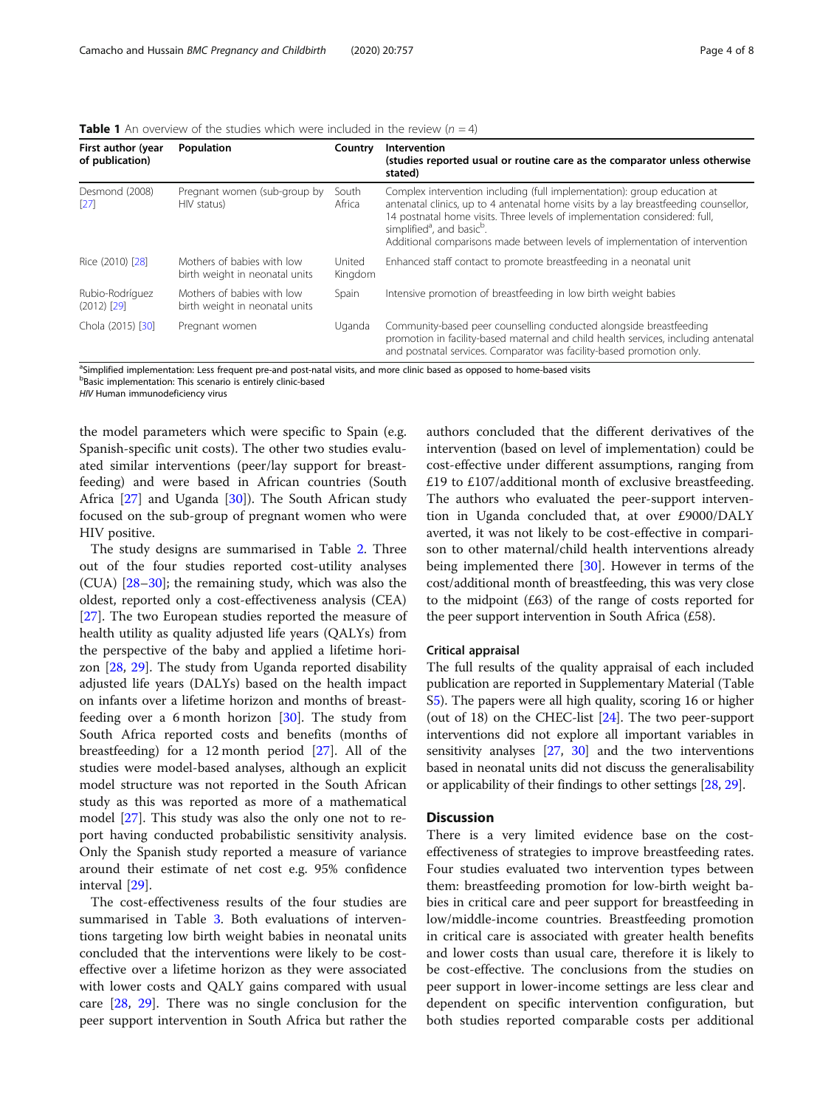<span id="page-3-0"></span>**Table 1** An overview of the studies which were included in the review ( $n = 4$ )

| First author (year<br>of publication) | Population                                                   | Country           | <b>Intervention</b><br>(studies reported usual or routine care as the comparator unless otherwise<br>stated)                                                                                                                                                                                                                                                                        |
|---------------------------------------|--------------------------------------------------------------|-------------------|-------------------------------------------------------------------------------------------------------------------------------------------------------------------------------------------------------------------------------------------------------------------------------------------------------------------------------------------------------------------------------------|
| Desmond (2008)<br>[27]                | Pregnant women (sub-group by<br>HIV status)                  | South<br>Africa   | Complex intervention including (full implementation): group education at<br>antenatal clinics, up to 4 antenatal home visits by a lay breastfeeding counsellor,<br>14 postnatal home visits. Three levels of implementation considered: full,<br>simplified <sup>a</sup> , and basic <sup>b</sup> .<br>Additional comparisons made between levels of implementation of intervention |
| Rice (2010) [28]                      | Mothers of babies with low<br>birth weight in neonatal units | United<br>Kingdom | Enhanced staff contact to promote breastfeeding in a neonatal unit                                                                                                                                                                                                                                                                                                                  |
| Rubio-Rodríguez<br>$(2012)$ [29]      | Mothers of babies with low<br>birth weight in neonatal units | Spain             | Intensive promotion of breastfeeding in low birth weight babies                                                                                                                                                                                                                                                                                                                     |
| Chola (2015) [30]                     | Pregnant women                                               | Uganda            | Community-based peer counselling conducted alongside breastfeeding<br>promotion in facility-based maternal and child health services, including antenatal<br>and postnatal services. Comparator was facility-based promotion only.                                                                                                                                                  |

<sup>a</sup>Simplified implementation: Less frequent pre-and post-natal visits, and more clinic based as opposed to home-based visits

<sup>b</sup>Basic implementation: This scenario is entirely clinic-based

HIV Human immunodeficiency virus

the model parameters which were specific to Spain (e.g. Spanish-specific unit costs). The other two studies evaluated similar interventions (peer/lay support for breastfeeding) and were based in African countries (South Africa [[27\]](#page-7-0) and Uganda [[30](#page-7-0)]). The South African study focused on the sub-group of pregnant women who were HIV positive.

The study designs are summarised in Table [2.](#page-4-0) Three out of the four studies reported cost-utility analyses (CUA) [\[28](#page-7-0)–[30\]](#page-7-0); the remaining study, which was also the oldest, reported only a cost-effectiveness analysis (CEA) [[27\]](#page-7-0). The two European studies reported the measure of health utility as quality adjusted life years (QALYs) from the perspective of the baby and applied a lifetime horizon [\[28](#page-7-0), [29\]](#page-7-0). The study from Uganda reported disability adjusted life years (DALYs) based on the health impact on infants over a lifetime horizon and months of breastfeeding over a 6 month horizon [\[30](#page-7-0)]. The study from South Africa reported costs and benefits (months of breastfeeding) for a 12 month period [[27\]](#page-7-0). All of the studies were model-based analyses, although an explicit model structure was not reported in the South African study as this was reported as more of a mathematical model [[27\]](#page-7-0). This study was also the only one not to report having conducted probabilistic sensitivity analysis. Only the Spanish study reported a measure of variance around their estimate of net cost e.g. 95% confidence interval [\[29](#page-7-0)].

The cost-effectiveness results of the four studies are summarised in Table [3.](#page-5-0) Both evaluations of interventions targeting low birth weight babies in neonatal units concluded that the interventions were likely to be costeffective over a lifetime horizon as they were associated with lower costs and QALY gains compared with usual care [[28,](#page-7-0) [29](#page-7-0)]. There was no single conclusion for the peer support intervention in South Africa but rather the

authors concluded that the different derivatives of the intervention (based on level of implementation) could be cost-effective under different assumptions, ranging from £19 to £107/additional month of exclusive breastfeeding. The authors who evaluated the peer-support intervention in Uganda concluded that, at over £9000/DALY averted, it was not likely to be cost-effective in comparison to other maternal/child health interventions already being implemented there [\[30\]](#page-7-0). However in terms of the cost/additional month of breastfeeding, this was very close to the midpoint (£63) of the range of costs reported for the peer support intervention in South Africa (£58).

### Critical appraisal

The full results of the quality appraisal of each included publication are reported in Supplementary Material (Table S[5](#page-6-0)). The papers were all high quality, scoring 16 or higher (out of 18) on the CHEC-list [\[24](#page-7-0)]. The two peer-support interventions did not explore all important variables in sensitivity analyses [[27,](#page-7-0) [30\]](#page-7-0) and the two interventions based in neonatal units did not discuss the generalisability or applicability of their findings to other settings [\[28](#page-7-0), [29](#page-7-0)].

# **Discussion**

There is a very limited evidence base on the costeffectiveness of strategies to improve breastfeeding rates. Four studies evaluated two intervention types between them: breastfeeding promotion for low-birth weight babies in critical care and peer support for breastfeeding in low/middle-income countries. Breastfeeding promotion in critical care is associated with greater health benefits and lower costs than usual care, therefore it is likely to be cost-effective. The conclusions from the studies on peer support in lower-income settings are less clear and dependent on specific intervention configuration, but both studies reported comparable costs per additional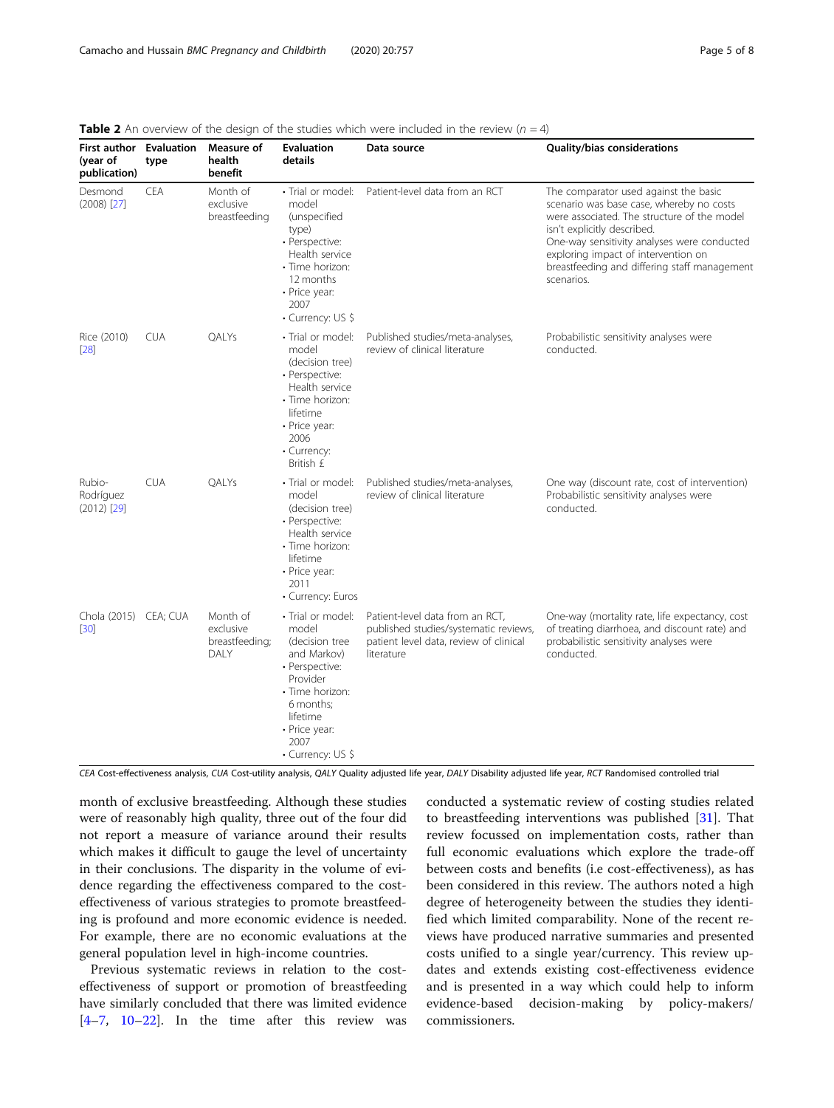| <b>First author</b> Evaluation<br>(year of<br>publication) | type       | Measure of<br>health<br>benefit                 | <b>Evaluation</b><br>details                                                                                                                                                        | Data source                                                                                                                      | Quality/bias considerations                                                                                                                                                                                                                                                                                         |
|------------------------------------------------------------|------------|-------------------------------------------------|-------------------------------------------------------------------------------------------------------------------------------------------------------------------------------------|----------------------------------------------------------------------------------------------------------------------------------|---------------------------------------------------------------------------------------------------------------------------------------------------------------------------------------------------------------------------------------------------------------------------------------------------------------------|
| Desmond<br>$(2008)$ $[27]$                                 | CEA        | Month of<br>exclusive<br>breastfeeding          | · Trial or model:<br>model<br>(unspecified<br>type)<br>• Perspective:<br>Health service<br>• Time horizon:<br>12 months<br>• Price year:<br>2007<br>• Currency: US \$               | Patient-level data from an RCT                                                                                                   | The comparator used against the basic<br>scenario was base case, whereby no costs<br>were associated. The structure of the model<br>isn't explicitly described.<br>One-way sensitivity analyses were conducted<br>exploring impact of intervention on<br>breastfeeding and differing staff management<br>scenarios. |
| Rice (2010)<br>$[28]$                                      | <b>CUA</b> | QALYs                                           | • Trial or model:<br>model<br>(decision tree)<br>• Perspective:<br>Health service<br>• Time horizon:<br>lifetime<br>• Price year:<br>2006<br>• Currency:<br>British £               | Published studies/meta-analyses,<br>review of clinical literature                                                                | Probabilistic sensitivity analyses were<br>conducted.                                                                                                                                                                                                                                                               |
| Rubio-<br>Rodríguez<br>$(2012)$ [29]                       | <b>CUA</b> | QALYs                                           | • Trial or model:<br>model<br>(decision tree)<br>• Perspective:<br>Health service<br>· Time horizon:<br>lifetime<br>• Price year:<br>2011<br>• Currency: Euros                      | Published studies/meta-analyses,<br>review of clinical literature                                                                | One way (discount rate, cost of intervention)<br>Probabilistic sensitivity analyses were<br>conducted.                                                                                                                                                                                                              |
| Chola (2015) CEA; CUA<br>$[30]$                            |            | Month of<br>exclusive<br>breastfeeding;<br>DALY | • Trial or model:<br>model<br>(decision tree<br>and Markov)<br>• Perspective:<br>Provider<br>· Time horizon:<br>6 months;<br>lifetime<br>• Price year:<br>2007<br>• Currency: US \$ | Patient-level data from an RCT,<br>published studies/systematic reviews,<br>patient level data, review of clinical<br>literature | One-way (mortality rate, life expectancy, cost<br>of treating diarrhoea, and discount rate) and<br>probabilistic sensitivity analyses were<br>conducted.                                                                                                                                                            |

<span id="page-4-0"></span>**Table 2** An overview of the design of the studies which were included in the review ( $n = 4$ )

CEA Cost-effectiveness analysis, CUA Cost-utility analysis, QALY Quality adjusted life year, DALY Disability adjusted life year, RCT Randomised controlled trial

month of exclusive breastfeeding. Although these studies were of reasonably high quality, three out of the four did not report a measure of variance around their results which makes it difficult to gauge the level of uncertainty in their conclusions. The disparity in the volume of evidence regarding the effectiveness compared to the costeffectiveness of various strategies to promote breastfeeding is profound and more economic evidence is needed. For example, there are no economic evaluations at the general population level in high-income countries.

Previous systematic reviews in relation to the costeffectiveness of support or promotion of breastfeeding have similarly concluded that there was limited evidence  $[4-7, 10-22]$  $[4-7, 10-22]$  $[4-7, 10-22]$  $[4-7, 10-22]$  $[4-7, 10-22]$  $[4-7, 10-22]$  $[4-7, 10-22]$  $[4-7, 10-22]$ . In the time after this review was conducted a systematic review of costing studies related to breastfeeding interventions was published [[31\]](#page-7-0). That review focussed on implementation costs, rather than full economic evaluations which explore the trade-off between costs and benefits (i.e cost-effectiveness), as has been considered in this review. The authors noted a high degree of heterogeneity between the studies they identified which limited comparability. None of the recent reviews have produced narrative summaries and presented costs unified to a single year/currency. This review updates and extends existing cost-effectiveness evidence and is presented in a way which could help to inform evidence-based decision-making by policy-makers/ commissioners.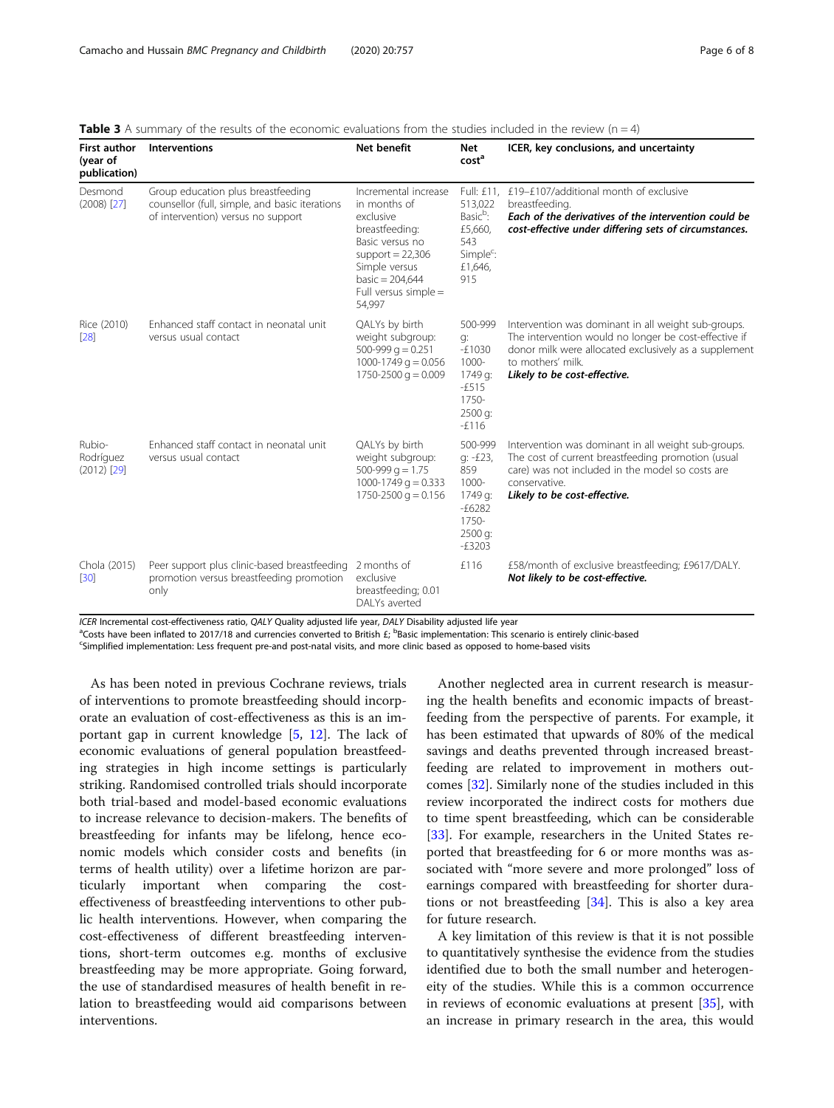| <b>First author</b><br>(year of<br>publication) | Interventions                                                                                                              | <b>Net benefit</b>                                                                                                                                                                   | Net<br>cost <sup>a</sup>                                                                     | ICER, key conclusions, and uncertainty                                                                                                                                                                                     |
|-------------------------------------------------|----------------------------------------------------------------------------------------------------------------------------|--------------------------------------------------------------------------------------------------------------------------------------------------------------------------------------|----------------------------------------------------------------------------------------------|----------------------------------------------------------------------------------------------------------------------------------------------------------------------------------------------------------------------------|
| Desmond<br>$(2008)$ [27]                        | Group education plus breastfeeding<br>counsellor (full, simple, and basic iterations<br>of intervention) versus no support | Incremental increase<br>in months of<br>exclusive<br>breastfeeding:<br>Basic versus no<br>support = $22,306$<br>Simple versus<br>basic = $204,644$<br>Full versus simple =<br>54,997 | 513,022<br>Basic <sup>b</sup> :<br>£5,660,<br>543<br>Simple <sup>c</sup> :<br>£1,646,<br>915 | Full: £11. £19-£107/additional month of exclusive<br>breastfeeding.<br>Each of the derivatives of the intervention could be<br>cost-effective under differing sets of circumstances.                                       |
| Rice (2010)<br>[28]                             | Enhanced staff contact in neonatal unit<br>versus usual contact                                                            | QALYs by birth<br>weight subgroup:<br>500-999 $q = 0.251$<br>1000-1749 $q = 0.056$<br>1750-2500 $q = 0.009$                                                                          | 500-999<br>g:<br>$-E1030$<br>$1000 -$<br>1749 g:<br>$-5515$<br>$1750-$<br>2500 g:<br>$-5116$ | Intervention was dominant in all weight sub-groups.<br>The intervention would no longer be cost-effective if<br>donor milk were allocated exclusively as a supplement<br>to mothers' milk.<br>Likely to be cost-effective. |
| Rubio-<br>Rodríguez<br>$(2012)$ [29]            | Enhanced staff contact in neonatal unit<br>versus usual contact                                                            | QALYs by birth<br>weight subgroup:<br>$500-999$ g = 1.75<br>1000-1749 $q = 0.333$<br>$1750 - 2500$ g = 0.156                                                                         | 500-999<br>g: -£23,<br>859<br>1000-<br>1749 g:<br>$-£6282$<br>1750-<br>2500 g:<br>$-E3203$   | Intervention was dominant in all weight sub-groups.<br>The cost of current breastfeeding promotion (usual<br>care) was not included in the model so costs are<br>conservative.<br>Likely to be cost-effective.             |
| Chola (2015)<br>[30]                            | Peer support plus clinic-based breastfeeding<br>promotion versus breastfeeding promotion<br>only                           | 2 months of<br>exclusive<br>breastfeeding; 0.01<br>DALYs averted                                                                                                                     | £116                                                                                         | £58/month of exclusive breastfeeding; £9617/DALY.<br>Not likely to be cost-effective.                                                                                                                                      |

<span id="page-5-0"></span>

|  |  |  | <b>Table 3</b> A summary of the results of the economic evaluations from the studies included in the review ( $n = 4$ ) |  |
|--|--|--|-------------------------------------------------------------------------------------------------------------------------|--|
|--|--|--|-------------------------------------------------------------------------------------------------------------------------|--|

ICER Incremental cost-effectiveness ratio, QALY Quality adjusted life year, DALY Disability adjusted life year

<sup>a</sup>Costs have been inflated to 2017/18 and currencies converted to British £; <sup>b</sup>Basic implementation: This scenario is entirely clinic-based<br><sup>C</sup>Simplified implementation: Less frequent pre-and post-patal visits, and more

Simplified implementation: Less frequent pre-and post-natal visits, and more clinic based as opposed to home-based visits

As has been noted in previous Cochrane reviews, trials of interventions to promote breastfeeding should incorporate an evaluation of cost-effectiveness as this is an important gap in current knowledge [\[5](#page-6-0), [12\]](#page-6-0). The lack of economic evaluations of general population breastfeeding strategies in high income settings is particularly striking. Randomised controlled trials should incorporate both trial-based and model-based economic evaluations to increase relevance to decision-makers. The benefits of breastfeeding for infants may be lifelong, hence economic models which consider costs and benefits (in terms of health utility) over a lifetime horizon are particularly important when comparing the costeffectiveness of breastfeeding interventions to other public health interventions. However, when comparing the cost-effectiveness of different breastfeeding interventions, short-term outcomes e.g. months of exclusive breastfeeding may be more appropriate. Going forward, the use of standardised measures of health benefit in relation to breastfeeding would aid comparisons between interventions.

Another neglected area in current research is measuring the health benefits and economic impacts of breastfeeding from the perspective of parents. For example, it has been estimated that upwards of 80% of the medical savings and deaths prevented through increased breastfeeding are related to improvement in mothers outcomes [[32\]](#page-7-0). Similarly none of the studies included in this review incorporated the indirect costs for mothers due to time spent breastfeeding, which can be considerable [[33\]](#page-7-0). For example, researchers in the United States reported that breastfeeding for 6 or more months was associated with "more severe and more prolonged" loss of earnings compared with breastfeeding for shorter durations or not breastfeeding  $[34]$  $[34]$ . This is also a key area for future research.

A key limitation of this review is that it is not possible to quantitatively synthesise the evidence from the studies identified due to both the small number and heterogeneity of the studies. While this is a common occurrence in reviews of economic evaluations at present [[35\]](#page-7-0), with an increase in primary research in the area, this would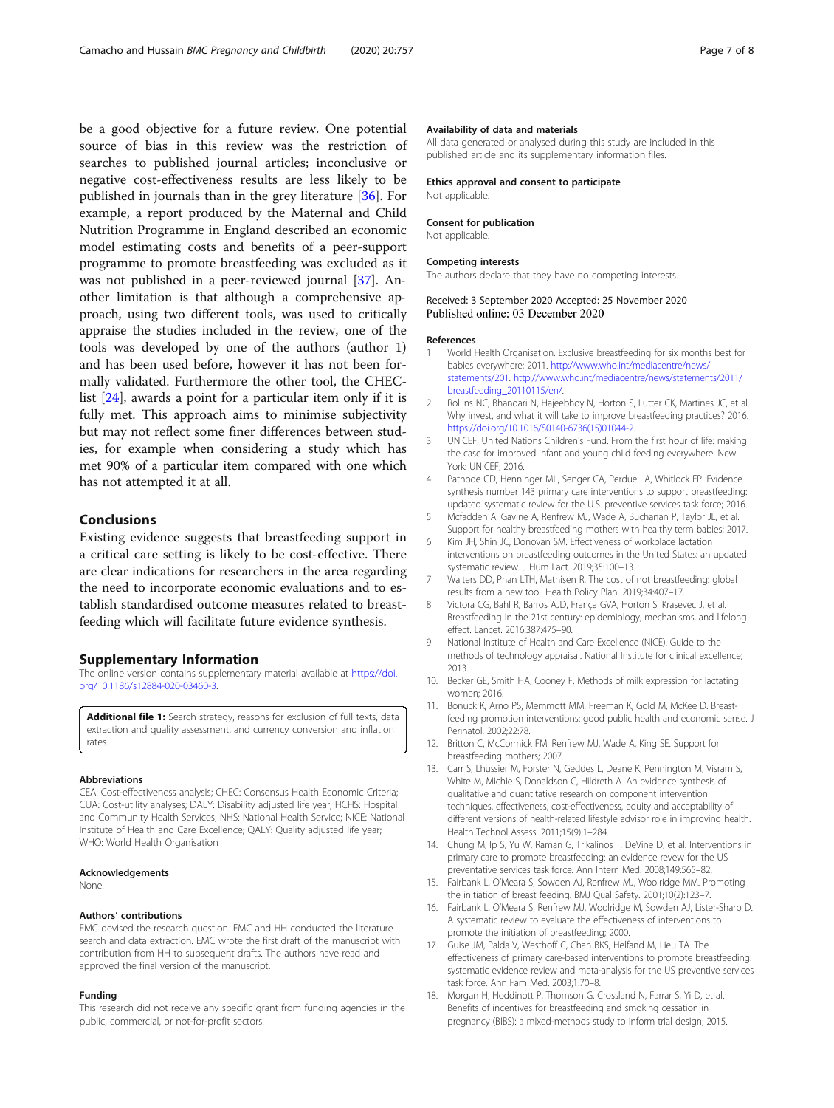<span id="page-6-0"></span>be a good objective for a future review. One potential source of bias in this review was the restriction of searches to published journal articles; inconclusive or negative cost-effectiveness results are less likely to be published in journals than in the grey literature [\[36](#page-7-0)]. For example, a report produced by the Maternal and Child Nutrition Programme in England described an economic model estimating costs and benefits of a peer-support programme to promote breastfeeding was excluded as it was not published in a peer-reviewed journal [\[37](#page-7-0)]. Another limitation is that although a comprehensive approach, using two different tools, was used to critically appraise the studies included in the review, one of the tools was developed by one of the authors (author 1) and has been used before, however it has not been formally validated. Furthermore the other tool, the CHEClist [\[24](#page-7-0)], awards a point for a particular item only if it is fully met. This approach aims to minimise subjectivity but may not reflect some finer differences between studies, for example when considering a study which has met 90% of a particular item compared with one which has not attempted it at all.

### Conclusions

Existing evidence suggests that breastfeeding support in a critical care setting is likely to be cost-effective. There are clear indications for researchers in the area regarding the need to incorporate economic evaluations and to establish standardised outcome measures related to breastfeeding which will facilitate future evidence synthesis.

### Supplementary Information

The online version contains supplementary material available at [https://doi.](https://doi.org/10.1186/s12884-020-03460-3) [org/10.1186/s12884-020-03460-3.](https://doi.org/10.1186/s12884-020-03460-3)

Additional file 1: Search strategy, reasons for exclusion of full texts, data extraction and quality assessment, and currency conversion and inflation rates.

#### Abbreviations

CEA: Cost-effectiveness analysis; CHEC: Consensus Health Economic Criteria; CUA: Cost-utility analyses; DALY: Disability adjusted life year; HCHS: Hospital and Community Health Services; NHS: National Health Service; NICE: National Institute of Health and Care Excellence; QALY: Quality adjusted life year; WHO: World Health Organisation

#### Acknowledgements

None.

#### Authors' contributions

EMC devised the research question. EMC and HH conducted the literature search and data extraction. EMC wrote the first draft of the manuscript with contribution from HH to subsequent drafts. The authors have read and approved the final version of the manuscript.

#### Funding

This research did not receive any specific grant from funding agencies in the public, commercial, or not-for-profit sectors.

### Availability of data and materials

All data generated or analysed during this study are included in this published article and its supplementary information files.

#### Ethics approval and consent to participate Not applicable.

# Consent for publication

Not applicable.

#### Competing interests

The authors declare that they have no competing interests.

### Received: 3 September 2020 Accepted: 25 November 2020 Published online: 03 December 2020

#### References

- 1. World Health Organisation. Exclusive breastfeeding for six months best for babies everywhere; 2011. [http://www.who.int/mediacentre/news/](http://www.who.int/mediacentre/news/statements/201) [statements/201.](http://www.who.int/mediacentre/news/statements/201) [http://www.who.int/mediacentre/news/statements/2011/](http://www.who.int/mediacentre/news/statements/2011/breastfeeding_20110115/en/) [breastfeeding\\_20110115/en/.](http://www.who.int/mediacentre/news/statements/2011/breastfeeding_20110115/en/)
- 2. Rollins NC, Bhandari N, Hajeebhoy N, Horton S, Lutter CK, Martines JC, et al. Why invest, and what it will take to improve breastfeeding practices? 2016. [https://doi.org/10.1016/S0140-6736\(15\)01044-2.](https://doi.org/10.1016/S0140-6736(15)01044-2)
- 3. UNICEF, United Nations Children's Fund. From the first hour of life: making the case for improved infant and young child feeding everywhere. New York: UNICEF; 2016.
- 4. Patnode CD, Henninger ML, Senger CA, Perdue LA, Whitlock EP. Evidence synthesis number 143 primary care interventions to support breastfeeding: updated systematic review for the U.S. preventive services task force; 2016.
- 5. Mcfadden A, Gavine A, Renfrew MJ, Wade A, Buchanan P, Taylor JL, et al. Support for healthy breastfeeding mothers with healthy term babies; 2017.
- 6. Kim JH, Shin JC, Donovan SM. Effectiveness of workplace lactation interventions on breastfeeding outcomes in the United States: an updated systematic review. J Hum Lact. 2019;35:100–13.
- 7. Walters DD, Phan LTH, Mathisen R. The cost of not breastfeeding: global results from a new tool. Health Policy Plan. 2019;34:407–17.
- 8. Victora CG, Bahl R, Barros AJD, França GVA, Horton S, Krasevec J, et al. Breastfeeding in the 21st century: epidemiology, mechanisms, and lifelong effect. Lancet. 2016;387:475–90.
- National Institute of Health and Care Excellence (NICE). Guide to the methods of technology appraisal. National Institute for clinical excellence; 2013.
- 10. Becker GE, Smith HA, Cooney F. Methods of milk expression for lactating women; 2016.
- 11. Bonuck K, Arno PS, Memmott MM, Freeman K, Gold M, McKee D. Breastfeeding promotion interventions: good public health and economic sense. J Perinatol. 2002;22:78.
- 12. Britton C, McCormick FM, Renfrew MJ, Wade A, King SE. Support for breastfeeding mothers; 2007.
- 13. Carr S, Lhussier M, Forster N, Geddes L, Deane K, Pennington M, Visram S, White M, Michie S, Donaldson C, Hildreth A. An evidence synthesis of qualitative and quantitative research on component intervention techniques, effectiveness, cost-effectiveness, equity and acceptability of different versions of health-related lifestyle advisor role in improving health. Health Technol Assess. 2011;15(9):1–284.
- 14. Chung M, Ip S, Yu W, Raman G, Trikalinos T, DeVine D, et al. Interventions in primary care to promote breastfeeding: an evidence revew for the US preventative services task force. Ann Intern Med. 2008;149:565–82.
- 15. Fairbank L, O'Meara S, Sowden AJ, Renfrew MJ, Woolridge MM. Promoting the initiation of breast feeding. BMJ Qual Safety. 2001;10(2):123–7.
- 16. Fairbank L, O'Meara S, Renfrew MJ, Woolridge M, Sowden AJ, Lister-Sharp D. A systematic review to evaluate the effectiveness of interventions to promote the initiation of breastfeeding; 2000.
- 17. Guise JM, Palda V, Westhoff C, Chan BKS, Helfand M, Lieu TA. The effectiveness of primary care-based interventions to promote breastfeeding: systematic evidence review and meta-analysis for the US preventive services task force. Ann Fam Med. 2003;1:70–8.
- 18. Morgan H, Hoddinott P, Thomson G, Crossland N, Farrar S, Yi D, et al. Benefits of incentives for breastfeeding and smoking cessation in pregnancy (BIBS): a mixed-methods study to inform trial design; 2015.